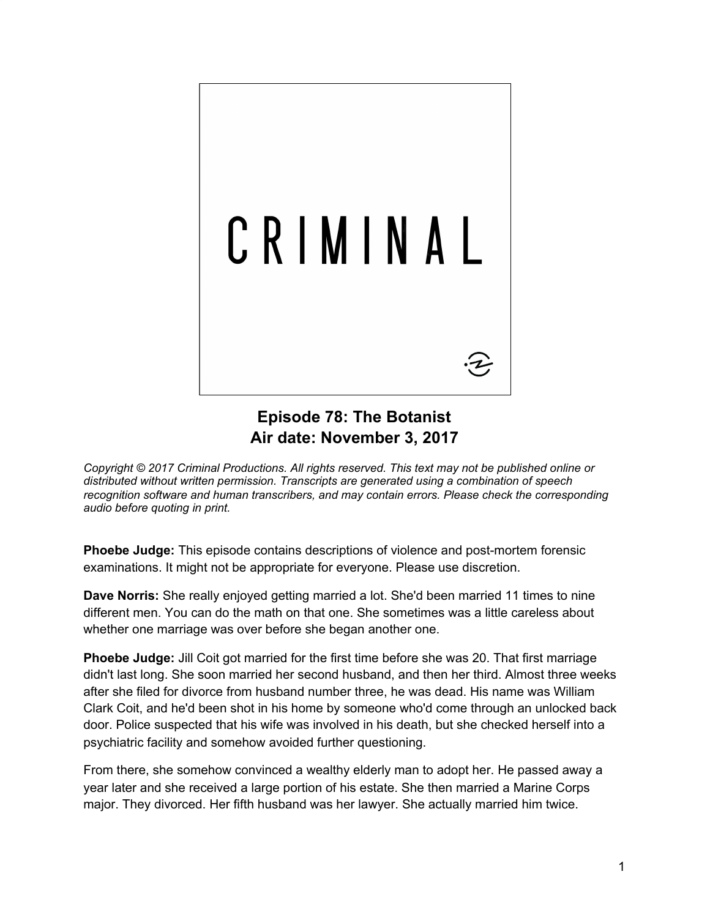

## **Episode 78: The Botanist Air date: November 3, 2017**

*Copyright © 2017 Criminal Productions. All rights reserved. This text may not be published online or distributed without written permission. Transcripts are generated using a combination of speech recognition software and human transcribers, and may contain errors. Please check the corresponding audio before quoting in print.*

**Phoebe Judge:** This episode contains descriptions of violence and post-mortem forensic examinations. It might not be appropriate for everyone. Please use discretion.

**Dave Norris:** She really enjoyed getting married a lot. She'd been married 11 times to nine different men. You can do the math on that one. She sometimes was a little careless about whether one marriage was over before she began another one.

**Phoebe Judge:** Jill Coit got married for the first time before she was 20. That first marriage didn't last long. She soon married her second husband, and then her third. Almost three weeks after she filed for divorce from husband number three, he was dead. His name was William Clark Coit, and he'd been shot in his home by someone who'd come through an unlocked back door. Police suspected that his wife was involved in his death, but she checked herself into a psychiatric facility and somehow avoided further questioning.

From there, she somehow convinced a wealthy elderly man to adopt her. He passed away a year later and she received a large portion of his estate. She then married a Marine Corps major. They divorced. Her fifth husband was her lawyer. She actually married him twice.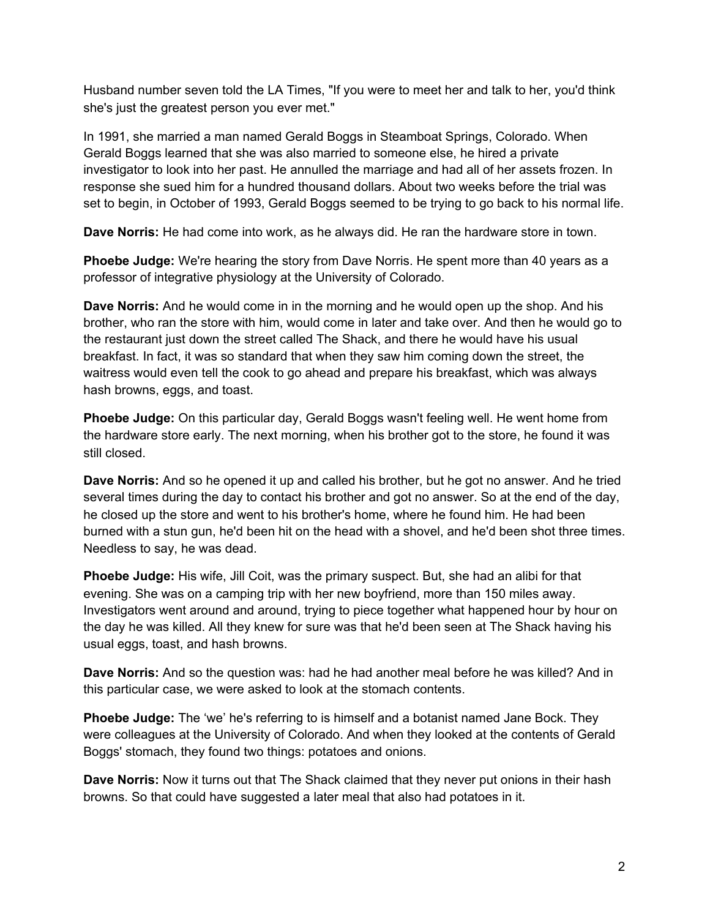Husband number seven told the LA Times, "If you were to meet her and talk to her, you'd think she's just the greatest person you ever met."

In 1991, she married a man named Gerald Boggs in Steamboat Springs, Colorado. When Gerald Boggs learned that she was also married to someone else, he hired a private investigator to look into her past. He annulled the marriage and had all of her assets frozen. In response she sued him for a hundred thousand dollars. About two weeks before the trial was set to begin, in October of 1993, Gerald Boggs seemed to be trying to go back to his normal life.

**Dave Norris:** He had come into work, as he always did. He ran the hardware store in town.

**Phoebe Judge:** We're hearing the story from Dave Norris. He spent more than 40 years as a professor of integrative physiology at the University of Colorado.

**Dave Norris:** And he would come in in the morning and he would open up the shop. And his brother, who ran the store with him, would come in later and take over. And then he would go to the restaurant just down the street called The Shack, and there he would have his usual breakfast. In fact, it was so standard that when they saw him coming down the street, the waitress would even tell the cook to go ahead and prepare his breakfast, which was always hash browns, eggs, and toast.

**Phoebe Judge:** On this particular day, Gerald Boggs wasn't feeling well. He went home from the hardware store early. The next morning, when his brother got to the store, he found it was still closed.

**Dave Norris:** And so he opened it up and called his brother, but he got no answer. And he tried several times during the day to contact his brother and got no answer. So at the end of the day, he closed up the store and went to his brother's home, where he found him. He had been burned with a stun gun, he'd been hit on the head with a shovel, and he'd been shot three times. Needless to say, he was dead.

**Phoebe Judge:** His wife, Jill Coit, was the primary suspect. But, she had an alibi for that evening. She was on a camping trip with her new boyfriend, more than 150 miles away. Investigators went around and around, trying to piece together what happened hour by hour on the day he was killed. All they knew for sure was that he'd been seen at The Shack having his usual eggs, toast, and hash browns.

**Dave Norris:** And so the question was: had he had another meal before he was killed? And in this particular case, we were asked to look at the stomach contents.

**Phoebe Judge:** The 'we' he's referring to is himself and a botanist named Jane Bock. They were colleagues at the University of Colorado. And when they looked at the contents of Gerald Boggs' stomach, they found two things: potatoes and onions.

**Dave Norris:** Now it turns out that The Shack claimed that they never put onions in their hash browns. So that could have suggested a later meal that also had potatoes in it.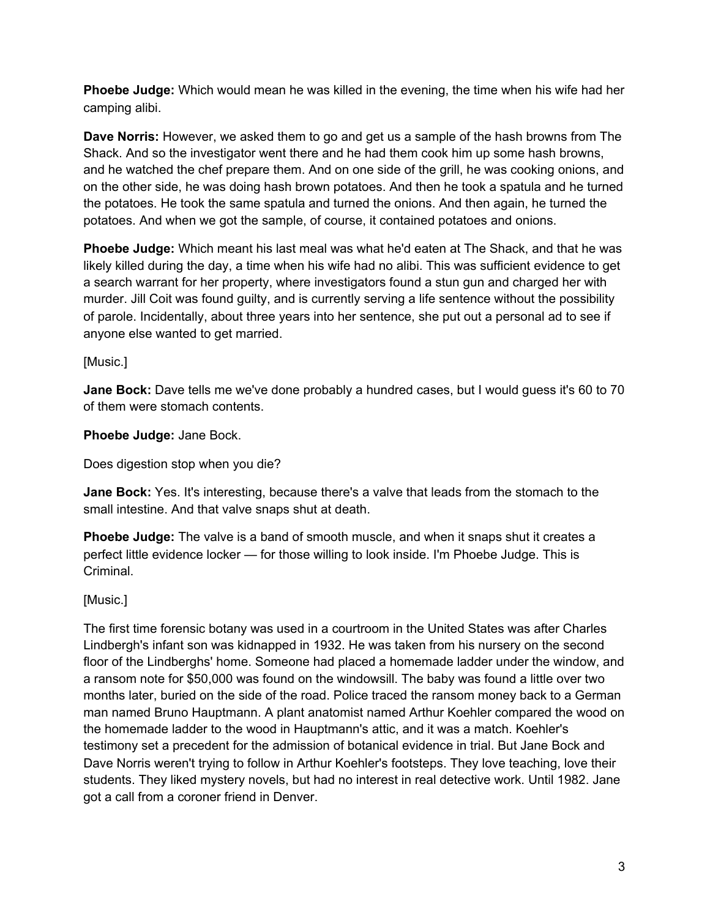**Phoebe Judge:** Which would mean he was killed in the evening, the time when his wife had her camping alibi.

**Dave Norris:** However, we asked them to go and get us a sample of the hash browns from The Shack. And so the investigator went there and he had them cook him up some hash browns, and he watched the chef prepare them. And on one side of the grill, he was cooking onions, and on the other side, he was doing hash brown potatoes. And then he took a spatula and he turned the potatoes. He took the same spatula and turned the onions. And then again, he turned the potatoes. And when we got the sample, of course, it contained potatoes and onions.

**Phoebe Judge:** Which meant his last meal was what he'd eaten at The Shack, and that he was likely killed during the day, a time when his wife had no alibi. This was sufficient evidence to get a search warrant for her property, where investigators found a stun gun and charged her with murder. Jill Coit was found guilty, and is currently serving a life sentence without the possibility of parole. Incidentally, about three years into her sentence, she put out a personal ad to see if anyone else wanted to get married.

[Music.]

**Jane Bock:** Dave tells me we've done probably a hundred cases, but I would guess it's 60 to 70 of them were stomach contents.

**Phoebe Judge:** Jane Bock.

Does digestion stop when you die?

**Jane Bock:** Yes. It's interesting, because there's a valve that leads from the stomach to the small intestine. And that valve snaps shut at death.

**Phoebe Judge:** The valve is a band of smooth muscle, and when it snaps shut it creates a perfect little evidence locker — for those willing to look inside. I'm Phoebe Judge. This is Criminal.

[Music.]

The first time forensic botany was used in a courtroom in the United States was after Charles Lindbergh's infant son was kidnapped in 1932. He was taken from his nursery on the second floor of the Lindberghs' home. Someone had placed a homemade ladder under the window, and a ransom note for \$50,000 was found on the windowsill. The baby was found a little over two months later, buried on the side of the road. Police traced the ransom money back to a German man named Bruno Hauptmann. A plant anatomist named Arthur Koehler compared the wood on the homemade ladder to the wood in Hauptmann's attic, and it was a match. Koehler's testimony set a precedent for the admission of botanical evidence in trial. But Jane Bock and Dave Norris weren't trying to follow in Arthur Koehler's footsteps. They love teaching, love their students. They liked mystery novels, but had no interest in real detective work. Until 1982. Jane got a call from a coroner friend in Denver.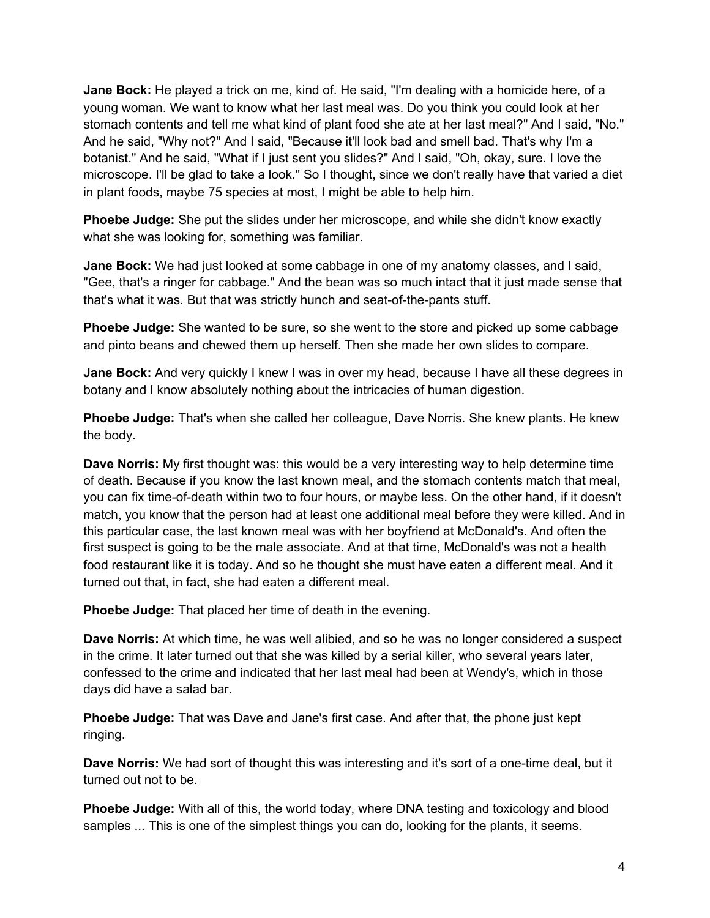**Jane Bock:** He played a trick on me, kind of. He said, "I'm dealing with a homicide here, of a young woman. We want to know what her last meal was. Do you think you could look at her stomach contents and tell me what kind of plant food she ate at her last meal?" And I said, "No." And he said, "Why not?" And I said, "Because it'll look bad and smell bad. That's why I'm a botanist." And he said, "What if I just sent you slides?" And I said, "Oh, okay, sure. I love the microscope. I'll be glad to take a look." So I thought, since we don't really have that varied a diet in plant foods, maybe 75 species at most, I might be able to help him.

**Phoebe Judge:** She put the slides under her microscope, and while she didn't know exactly what she was looking for, something was familiar.

**Jane Bock:** We had just looked at some cabbage in one of my anatomy classes, and I said, "Gee, that's a ringer for cabbage." And the bean was so much intact that it just made sense that that's what it was. But that was strictly hunch and seat-of-the-pants stuff.

**Phoebe Judge:** She wanted to be sure, so she went to the store and picked up some cabbage and pinto beans and chewed them up herself. Then she made her own slides to compare.

**Jane Bock:** And very quickly I knew I was in over my head, because I have all these degrees in botany and I know absolutely nothing about the intricacies of human digestion.

**Phoebe Judge:** That's when she called her colleague, Dave Norris. She knew plants. He knew the body.

**Dave Norris:** My first thought was: this would be a very interesting way to help determine time of death. Because if you know the last known meal, and the stomach contents match that meal, you can fix time-of-death within two to four hours, or maybe less. On the other hand, if it doesn't match, you know that the person had at least one additional meal before they were killed. And in this particular case, the last known meal was with her boyfriend at McDonald's. And often the first suspect is going to be the male associate. And at that time, McDonald's was not a health food restaurant like it is today. And so he thought she must have eaten a different meal. And it turned out that, in fact, she had eaten a different meal.

**Phoebe Judge:** That placed her time of death in the evening.

**Dave Norris:** At which time, he was well alibied, and so he was no longer considered a suspect in the crime. It later turned out that she was killed by a serial killer, who several years later, confessed to the crime and indicated that her last meal had been at Wendy's, which in those days did have a salad bar.

**Phoebe Judge:** That was Dave and Jane's first case. And after that, the phone just kept ringing.

**Dave Norris:** We had sort of thought this was interesting and it's sort of a one-time deal, but it turned out not to be.

**Phoebe Judge:** With all of this, the world today, where DNA testing and toxicology and blood samples ... This is one of the simplest things you can do, looking for the plants, it seems.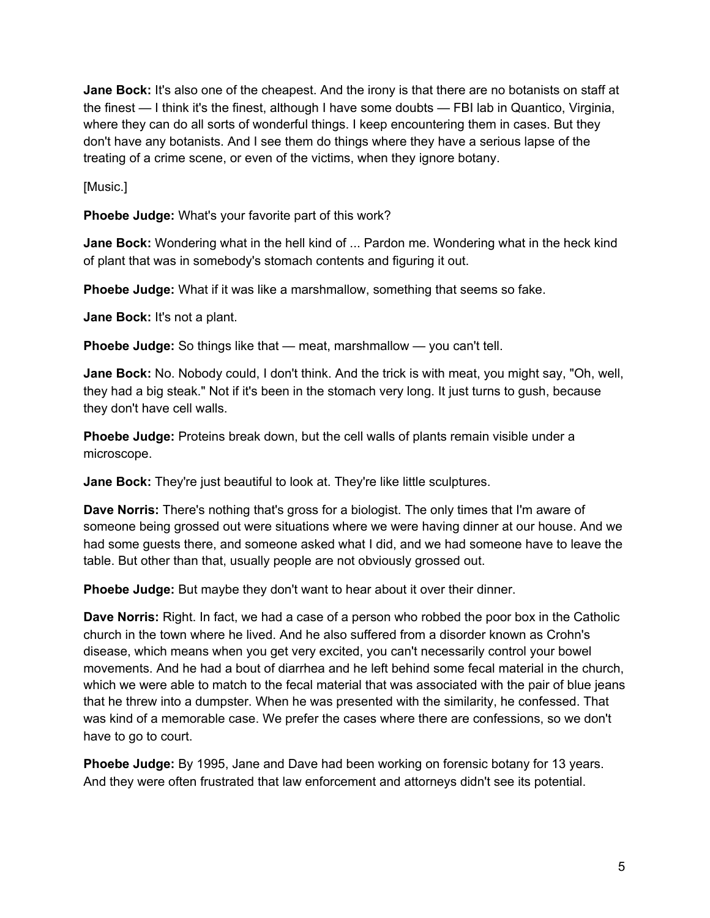**Jane Bock:** It's also one of the cheapest. And the irony is that there are no botanists on staff at the finest — I think it's the finest, although I have some doubts — FBI lab in Quantico, Virginia, where they can do all sorts of wonderful things. I keep encountering them in cases. But they don't have any botanists. And I see them do things where they have a serious lapse of the treating of a crime scene, or even of the victims, when they ignore botany.

[Music.]

**Phoebe Judge:** What's your favorite part of this work?

**Jane Bock:** Wondering what in the hell kind of ... Pardon me. Wondering what in the heck kind of plant that was in somebody's stomach contents and figuring it out.

**Phoebe Judge:** What if it was like a marshmallow, something that seems so fake.

**Jane Bock:** It's not a plant.

**Phoebe Judge:** So things like that — meat, marshmallow — you can't tell.

**Jane Bock:** No. Nobody could, I don't think. And the trick is with meat, you might say, "Oh, well, they had a big steak." Not if it's been in the stomach very long. It just turns to gush, because they don't have cell walls.

**Phoebe Judge:** Proteins break down, but the cell walls of plants remain visible under a microscope.

**Jane Bock:** They're just beautiful to look at. They're like little sculptures.

**Dave Norris:** There's nothing that's gross for a biologist. The only times that I'm aware of someone being grossed out were situations where we were having dinner at our house. And we had some guests there, and someone asked what I did, and we had someone have to leave the table. But other than that, usually people are not obviously grossed out.

**Phoebe Judge:** But maybe they don't want to hear about it over their dinner.

**Dave Norris:** Right. In fact, we had a case of a person who robbed the poor box in the Catholic church in the town where he lived. And he also suffered from a disorder known as Crohn's disease, which means when you get very excited, you can't necessarily control your bowel movements. And he had a bout of diarrhea and he left behind some fecal material in the church, which we were able to match to the fecal material that was associated with the pair of blue jeans that he threw into a dumpster. When he was presented with the similarity, he confessed. That was kind of a memorable case. We prefer the cases where there are confessions, so we don't have to go to court.

**Phoebe Judge:** By 1995, Jane and Dave had been working on forensic botany for 13 years. And they were often frustrated that law enforcement and attorneys didn't see its potential.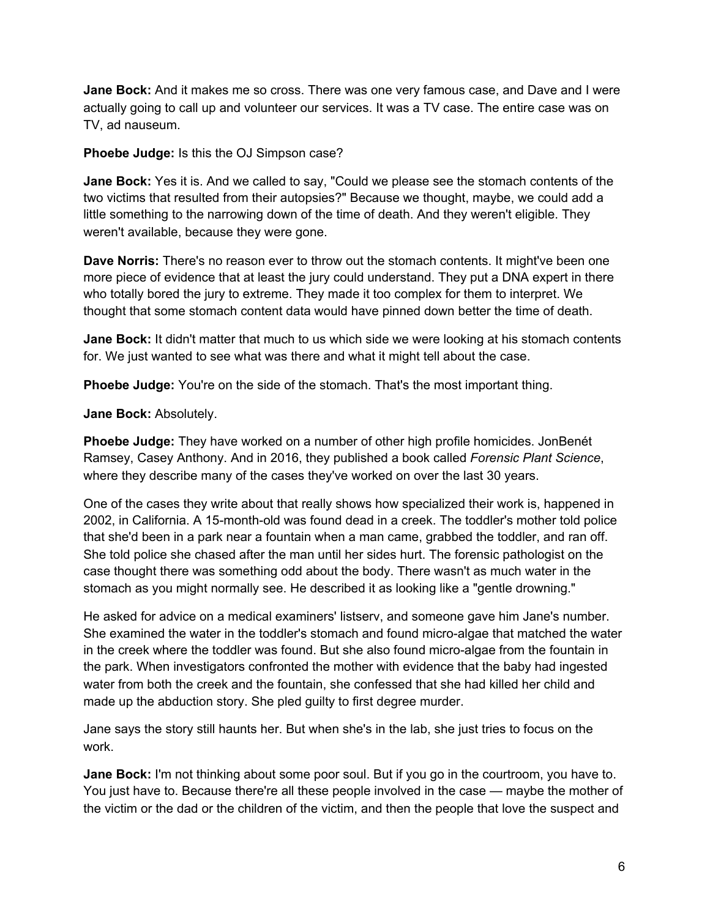**Jane Bock:** And it makes me so cross. There was one very famous case, and Dave and I were actually going to call up and volunteer our services. It was a TV case. The entire case was on TV, ad nauseum.

## **Phoebe Judge:** Is this the OJ Simpson case?

**Jane Bock:** Yes it is. And we called to say, "Could we please see the stomach contents of the two victims that resulted from their autopsies?" Because we thought, maybe, we could add a little something to the narrowing down of the time of death. And they weren't eligible. They weren't available, because they were gone.

**Dave Norris:** There's no reason ever to throw out the stomach contents. It might've been one more piece of evidence that at least the jury could understand. They put a DNA expert in there who totally bored the jury to extreme. They made it too complex for them to interpret. We thought that some stomach content data would have pinned down better the time of death.

**Jane Bock:** It didn't matter that much to us which side we were looking at his stomach contents for. We just wanted to see what was there and what it might tell about the case.

**Phoebe Judge:** You're on the side of the stomach. That's the most important thing.

## **Jane Bock:** Absolutely.

**Phoebe Judge:** They have worked on a number of other high profile homicides. JonBenét Ramsey, Casey Anthony. And in 2016, they published a book called *Forensic Plant Science*, where they describe many of the cases they've worked on over the last 30 years.

One of the cases they write about that really shows how specialized their work is, happened in 2002, in California. A 15-month-old was found dead in a creek. The toddler's mother told police that she'd been in a park near a fountain when a man came, grabbed the toddler, and ran off. She told police she chased after the man until her sides hurt. The forensic pathologist on the case thought there was something odd about the body. There wasn't as much water in the stomach as you might normally see. He described it as looking like a "gentle drowning."

He asked for advice on a medical examiners' listserv, and someone gave him Jane's number. She examined the water in the toddler's stomach and found micro-algae that matched the water in the creek where the toddler was found. But she also found micro-algae from the fountain in the park. When investigators confronted the mother with evidence that the baby had ingested water from both the creek and the fountain, she confessed that she had killed her child and made up the abduction story. She pled guilty to first degree murder.

Jane says the story still haunts her. But when she's in the lab, she just tries to focus on the work.

**Jane Bock:** I'm not thinking about some poor soul. But if you go in the courtroom, you have to. You just have to. Because there're all these people involved in the case — maybe the mother of the victim or the dad or the children of the victim, and then the people that love the suspect and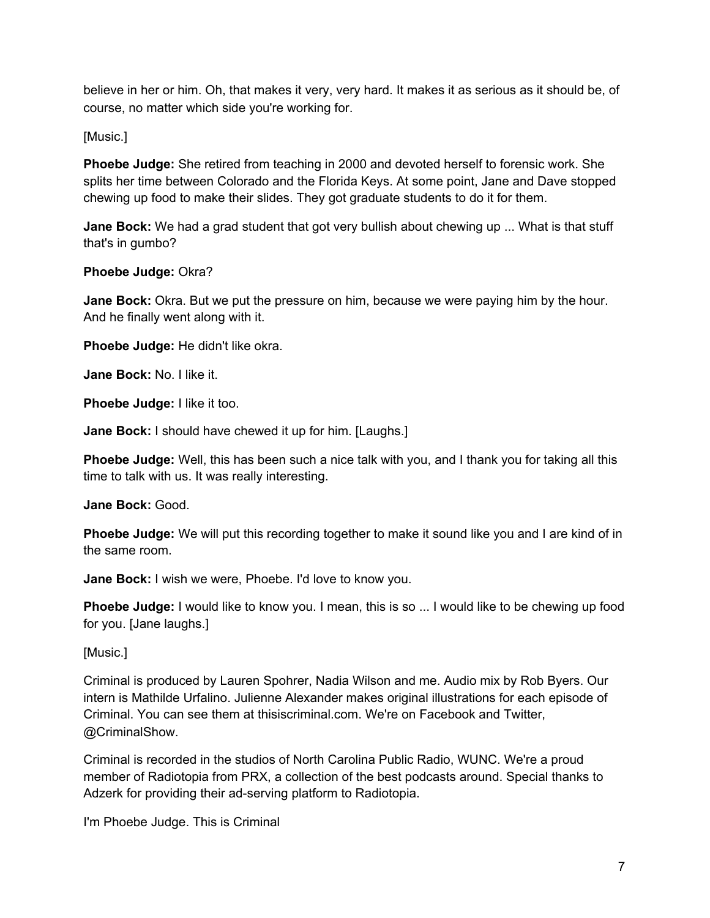believe in her or him. Oh, that makes it very, very hard. It makes it as serious as it should be, of course, no matter which side you're working for.

[Music.]

**Phoebe Judge:** She retired from teaching in 2000 and devoted herself to forensic work. She splits her time between Colorado and the Florida Keys. At some point, Jane and Dave stopped chewing up food to make their slides. They got graduate students to do it for them.

**Jane Bock:** We had a grad student that got very bullish about chewing up ... What is that stuff that's in gumbo?

**Phoebe Judge:** Okra?

**Jane Bock:** Okra. But we put the pressure on him, because we were paying him by the hour. And he finally went along with it.

**Phoebe Judge:** He didn't like okra.

**Jane Bock:** No. I like it.

**Phoebe Judge:** I like it too.

**Jane Bock:** I should have chewed it up for him. [Laughs.]

**Phoebe Judge:** Well, this has been such a nice talk with you, and I thank you for taking all this time to talk with us. It was really interesting.

**Jane Bock:** Good.

**Phoebe Judge:** We will put this recording together to make it sound like you and I are kind of in the same room.

**Jane Bock:** I wish we were, Phoebe. I'd love to know you.

**Phoebe Judge:** I would like to know you. I mean, this is so ... I would like to be chewing up food for you. [Jane laughs.]

[Music.]

Criminal is produced by Lauren Spohrer, Nadia Wilson and me. Audio mix by Rob Byers. Our intern is Mathilde Urfalino. Julienne Alexander makes original illustrations for each episode of Criminal. You can see them at thisiscriminal.com. We're on Facebook and Twitter, @CriminalShow.

Criminal is recorded in the studios of North Carolina Public Radio, WUNC. We're a proud member of Radiotopia from PRX, a collection of the best podcasts around. Special thanks to Adzerk for providing their ad-serving platform to Radiotopia.

I'm Phoebe Judge. This is Criminal